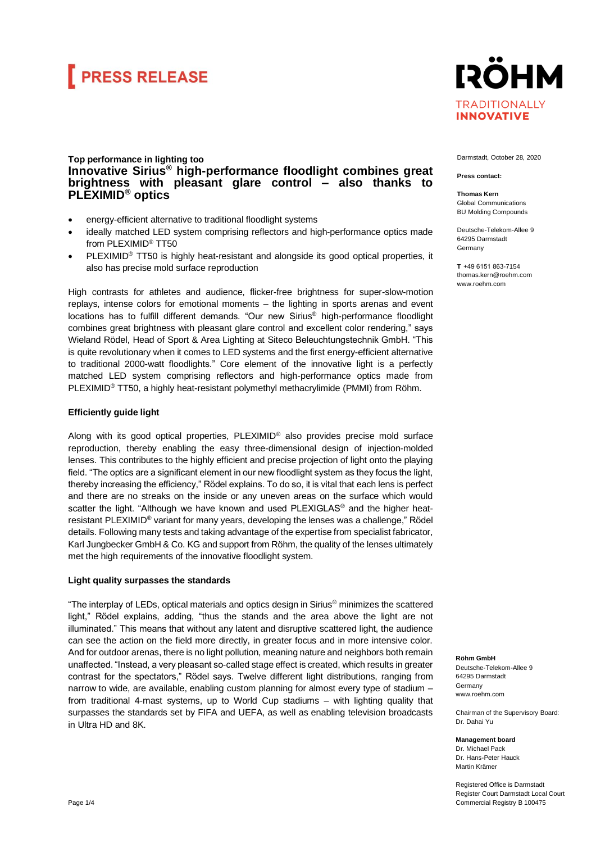## **FRESS RELEASE**



### **Top performance in lighting too Innovative Sirius® high-performance floodlight combines great brightness with pleasant glare control – also thanks to PLEXIMID® optics**

- energy-efficient alternative to traditional floodlight systems
- ideally matched LED system comprising reflectors and high-performance optics made from PLEXIMID® TT50
- PLEXIMID® TT50 is highly heat-resistant and alongside its good optical properties, it also has precise mold surface reproduction

High contrasts for athletes and audience, flicker-free brightness for super-slow-motion replays, intense colors for emotional moments – the lighting in sports arenas and event locations has to fulfill different demands. "Our new Sirius® high-performance floodlight combines great brightness with pleasant glare control and excellent color rendering," says Wieland Rödel, Head of Sport & Area Lighting at Siteco Beleuchtungstechnik GmbH. "This is quite revolutionary when it comes to LED systems and the first energy-efficient alternative to traditional 2000-watt floodlights." Core element of the innovative light is a perfectly matched LED system comprising reflectors and high-performance optics made from PLEXIMID® TT50, a highly heat-resistant polymethyl methacrylimide (PMMI) from Röhm.

#### **Efficiently guide light**

Along with its good optical properties, PLEXIMID® also provides precise mold surface reproduction, thereby enabling the easy three-dimensional design of injection-molded lenses. This contributes to the highly efficient and precise projection of light onto the playing field. "The optics are a significant element in our new floodlight system as they focus the light, thereby increasing the efficiency," Rödel explains. To do so, it is vital that each lens is perfect and there are no streaks on the inside or any uneven areas on the surface which would scatter the light. "Although we have known and used PLEXIGLAS® and the higher heatresistant PLEXIMID® variant for many years, developing the lenses was a challenge," Rödel details. Following many tests and taking advantage of the expertise from specialist fabricator, Karl Jungbecker GmbH & Co. KG and support from Röhm, the quality of the lenses ultimately met the high requirements of the innovative floodlight system.

### **Light quality surpasses the standards**

"The interplay of LEDs, optical materials and optics design in Sirius® minimizes the scattered light," Rödel explains, adding, "thus the stands and the area above the light are not illuminated." This means that without any latent and disruptive scattered light, the audience can see the action on the field more directly, in greater focus and in more intensive color. And for outdoor arenas, there is no light pollution, meaning nature and neighbors both remain unaffected. "Instead, a very pleasant so-called stage effect is created, which results in greater contrast for the spectators," Rödel says. Twelve different light distributions, ranging from narrow to wide, are available, enabling custom planning for almost every type of stadium – from traditional 4-mast systems, up to World Cup stadiums – with lighting quality that surpasses the standards set by FIFA and UEFA, as well as enabling television broadcasts in Ultra HD and 8K.

Darmstadt, October 28, 2020

#### **Press contact:**

**Thomas Kern** Global Communications BU Molding Compounds

Deutsche-Telekom-Allee 9 64295 Darmstadt Germany

**T**  +49 6151 863-7154 thomas.kern@roehm.com www.roehm.com

**Röhm GmbH** Deutsche-Telekom-Allee 9 64295 Darmstadt Germany [www.roehm.com](http://www.roehm.com/)

Chairman of the Supervisory Board: Dr. Dahai Yu

**Management board** Dr. Michael Pack Dr. Hans-Peter Hauck Martin Krämer

Registered Office is Darmstadt Register Court Darmstadt Local Court Commercial Registry B 100475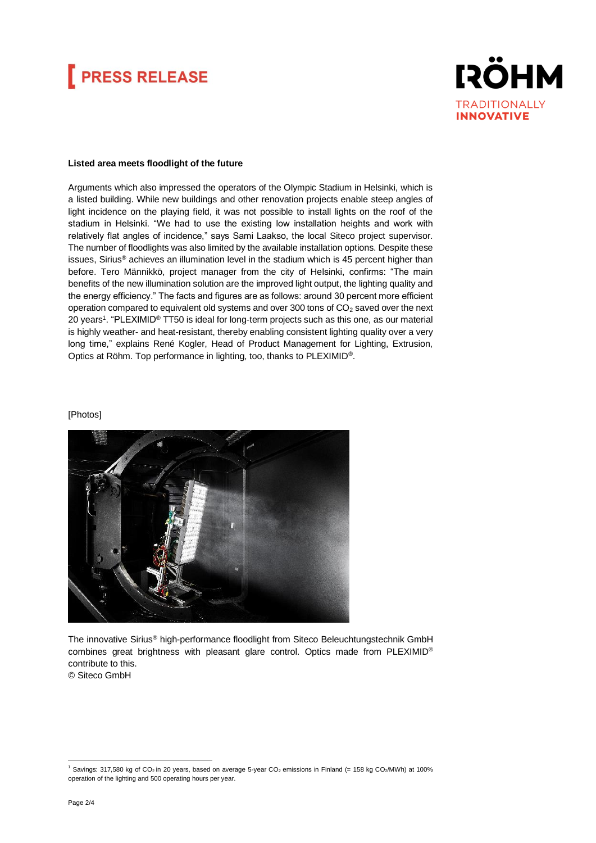# **FRESS RELEASE**



#### **Listed area meets floodlight of the future**

Arguments which also impressed the operators of the Olympic Stadium in Helsinki, which is a listed building. While new buildings and other renovation projects enable steep angles of light incidence on the playing field, it was not possible to install lights on the roof of the stadium in Helsinki. "We had to use the existing low installation heights and work with relatively flat angles of incidence," says Sami Laakso, the local Siteco project supervisor. The number of floodlights was also limited by the available installation options. Despite these issues, Sirius® achieves an illumination level in the stadium which is 45 percent higher than before. Tero Männikkö, project manager from the city of Helsinki, confirms: "The main benefits of the new illumination solution are the improved light output, the lighting quality and the energy efficiency." The facts and figures are as follows: around 30 percent more efficient operation compared to equivalent old systems and over  $300$  tons of  $CO<sub>2</sub>$  saved over the next 20 years<sup>1</sup>. "PLEXIMID<sup>®</sup> TT50 is ideal for long-term projects such as this one, as our material is highly weather- and heat-resistant, thereby enabling consistent lighting quality over a very long time," explains René Kogler, Head of Product Management for Lighting, Extrusion, Optics at Röhm. Top performance in lighting, too, thanks to PLEXIMID®.

#### [Photos]



The innovative Sirius® high-performance floodlight from Siteco Beleuchtungstechnik GmbH combines great brightness with pleasant glare control. Optics made from PLEXIMID® contribute to this.

© Siteco GmbH

 $1$  Savings: 317,580 kg of CO<sub>2</sub> in 20 years, based on average 5-year CO<sub>2</sub> emissions in Finland (= 158 kg CO<sub>2</sub>/MWh) at 100% operation of the lighting and 500 operating hours per year.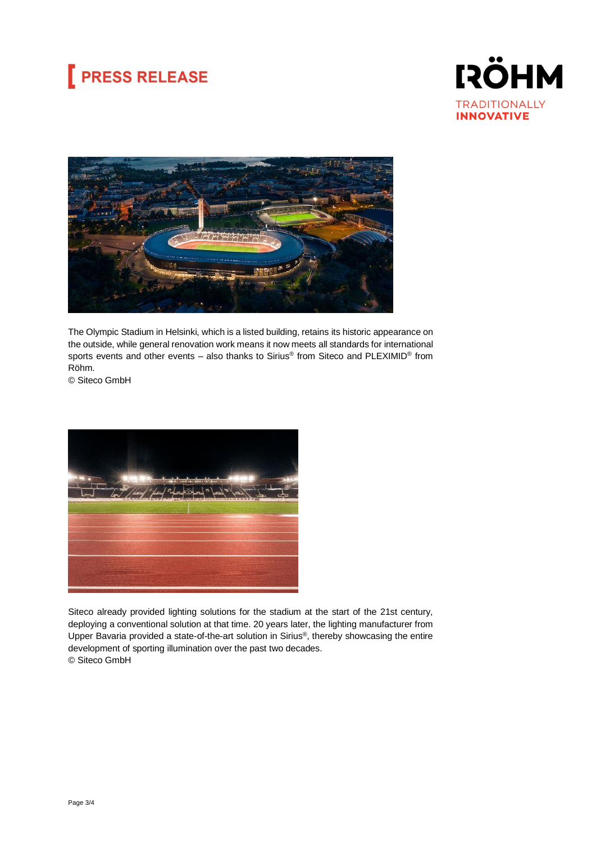# **PRESS RELEASE**





The Olympic Stadium in Helsinki, which is a listed building, retains its historic appearance on the outside, while general renovation work means it now meets all standards for international sports events and other events – also thanks to Sirius® from Siteco and PLEXIMID® from Röhm.

© Siteco GmbH



Siteco already provided lighting solutions for the stadium at the start of the 21st century, deploying a conventional solution at that time. 20 years later, the lighting manufacturer from Upper Bavaria provided a state-of-the-art solution in Sirius®, thereby showcasing the entire development of sporting illumination over the past two decades. © Siteco GmbH